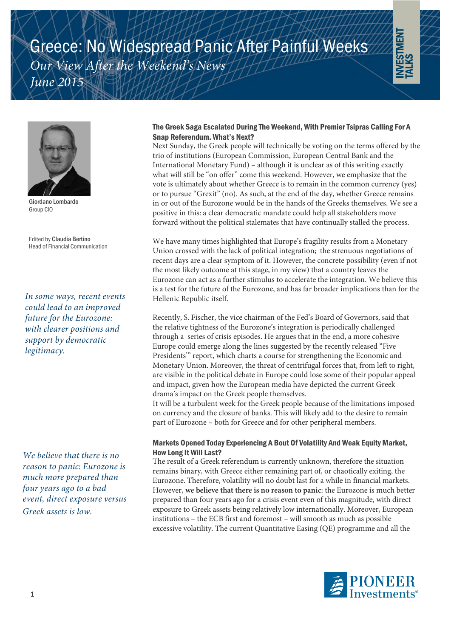





Giordano Lombardo Group CIO

Edited by Claudia Bertino Head of Financial Communication

*In some ways, recent events could lead to an improved future for the Eurozone: with clearer positions and support by democratic legitimacy.*

*We believe that there is no reason to panic: Eurozone is much more prepared than four years ago to a bad event, direct exposure versus Greek assets is low.*

# The Greek Saga Escalated During The Weekend, With Premier Tsipras Calling For A Snap Referendum. What's Next?

Next Sunday, the Greek people will technically be voting on the terms offered by the trio of institutions (European Commission, European Central Bank and the International Monetary Fund) – although it is unclear as of this writing exactly what will still be "on offer" come this weekend. However, we emphasize that the vote is ultimately about whether Greece is to remain in the common currency (yes) or to pursue "Grexit" (no). As such, at the end of the day, whether Greece remains in or out of the Eurozone would be in the hands of the Greeks themselves. We see a positive in this: a clear democratic mandate could help all stakeholders move forward without the political stalemates that have continually stalled the process.

We have many times highlighted that Europe's fragility results from a Monetary Union crossed with the lack of political integration; the strenuous negotiations of recent days are a clear symptom of it. However, the concrete possibility (even if not the most likely outcome at this stage, in my view) that a country leaves the Eurozone can act as a further stimulus to accelerate the integration. We believe this is a test for the future of the Eurozone, and has far broader implications than for the Hellenic Republic itself.

Recently, S. Fischer, the vice chairman of the Fed's Board of Governors, said that the relative tightness of the Eurozone's integration is periodically challenged through a series of crisis episodes. He argues that in the end, a more cohesive Europe could emerge along the lines suggested by the recently released "Five Presidents'" report, which charts a course for strengthening the Economic and Monetary Union. Moreover, the threat of centrifugal forces that, from left to right, are visible in the political debate in Europe could lose some of their popular appeal and impact, given how the European media have depicted the current Greek drama's impact on the Greek people themselves.

It will be a turbulent week for the Greek people because of the limitations imposed on currency and the closure of banks. This will likely add to the desire to remain part of Eurozone – both for Greece and for other peripheral members.

## Markets Opened Today Experiencing A Bout Of Volatility And Weak Equity Market, How Long It Will Last?

The result of a Greek referendum is currently unknown, therefore the situation remains binary, with Greece either remaining part of, or chaotically exiting, the Eurozone. Therefore, volatility will no doubt last for a while in financial markets. However, **we believe that there is no reason to panic**: the Eurozone is much better prepared than four years ago for a crisis event even of this magnitude, with direct exposure to Greek assets being relatively low internationally. Moreover, European institutions – the ECB first and foremost – will smooth as much as possible excessive volatility. The current Quantitative Easing (QE) programme and all the

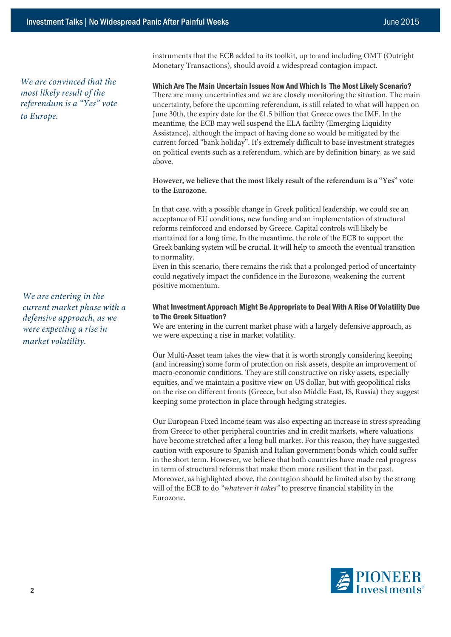above.

*We are convinced that the most likely result of the referendum is a "Yes" vote to Europe.*

*We are entering in the current market phase with a defensive approach, as we were expecting a rise in market volatility.*

instruments that the ECB added to its toolkit, up to and including OMT (Outright Monetary Transactions), should avoid a widespread contagion impact.

### Which Are The Main Uncertain Issues Now And Which Is The Most Likely Scenario? There are many uncertainties and we are closely monitoring the situation. The main uncertainty, before the upcoming referendum, is still related to what will happen on June 30th, the expiry date for the  $E1.5$  billion that Greece owes the IMF. In the meantime, the ECB may well suspend the ELA facility (Emerging Liquidity Assistance), although the impact of having done so would be mitigated by the current forced "bank holiday". It's extremely difficult to base investment strategies on political events such as a referendum, which are by definition binary, as we said

### **However, we believe that the most likely result of the referendum is a "Yes" vote to the Eurozone.**

In that case, with a possible change in Greek political leadership, we could see an acceptance of EU conditions, new funding and an implementation of structural reforms reinforced and endorsed by Greece. Capital controls will likely be mantained for a long time. In the meantime, the role of the ECB to support the Greek banking system will be crucial. It will help to smooth the eventual transition to normality.

Even in this scenario, there remains the risk that a prolonged period of uncertainty could negatively impact the confidence in the Eurozone, weakening the current positive momentum.

### What Investment Approach Might Be Appropriate to Deal With A Rise Of Volatility Due to The Greek Situation?

We are entering in the current market phase with a largely defensive approach, as we were expecting a rise in market volatility.

Our Multi-Asset team takes the view that it is worth strongly considering keeping (and increasing) some form of protection on risk assets, despite an improvement of macro-economic conditions. They are still constructive on risky assets, especially equities, and we maintain a positive view on US dollar, but with geopolitical risks on the rise on different fronts (Greece, but also Middle East, IS, Russia) they suggest keeping some protection in place through hedging strategies.

Our European Fixed Income team was also expecting an increase in stress spreading from Greece to other peripheral countries and in credit markets, where valuations have become stretched after a long bull market. For this reason, they have suggested caution with exposure to Spanish and Italian government bonds which could suffer in the short term. However, we believe that both countries have made real progress in term of structural reforms that make them more resilient that in the past. Moreover, as highlighted above, the contagion should be limited also by the strong will of the ECB to do *"whatever it takes"* to preserve financial stability in the Eurozone.